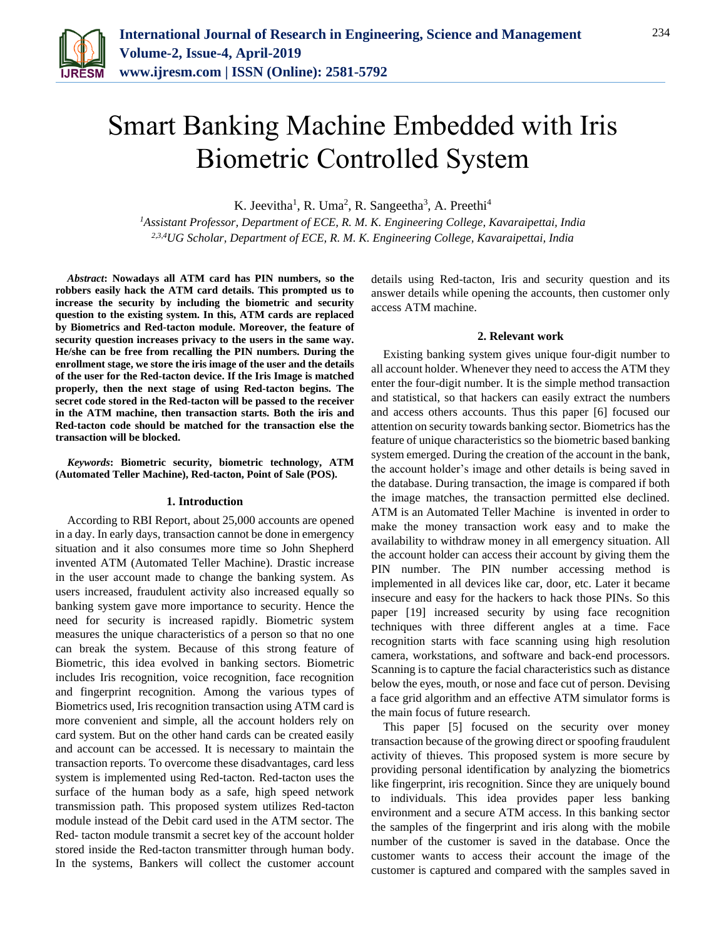

# Smart Banking Machine Embedded with Iris Biometric Controlled System

K. Jeevitha<sup>1</sup>, R. Uma<sup>2</sup>, R. Sangeetha<sup>3</sup>, A. Preethi<sup>4</sup>

*<sup>1</sup>Assistant Professor, Department of ECE, R. M. K. Engineering College, Kavaraipettai, India 2,3,4UG Scholar, Department of ECE, R. M. K. Engineering College, Kavaraipettai, India*

*Abstract***: Nowadays all ATM card has PIN numbers, so the robbers easily hack the ATM card details. This prompted us to increase the security by including the biometric and security question to the existing system. In this, ATM cards are replaced by Biometrics and Red-tacton module. Moreover, the feature of security question increases privacy to the users in the same way. He/she can be free from recalling the PIN numbers. During the enrollment stage, we store the iris image of the user and the details of the user for the Red-tacton device. If the Iris Image is matched properly, then the next stage of using Red-tacton begins. The secret code stored in the Red-tacton will be passed to the receiver in the ATM machine, then transaction starts. Both the iris and Red-tacton code should be matched for the transaction else the transaction will be blocked.**

*Keywords***: Biometric security, biometric technology, ATM (Automated Teller Machine), Red-tacton, Point of Sale (POS).**

#### **1. Introduction**

According to RBI Report, about 25,000 accounts are opened in a day. In early days, transaction cannot be done in emergency situation and it also consumes more time so John Shepherd invented ATM (Automated Teller Machine). Drastic increase in the user account made to change the banking system. As users increased, fraudulent activity also increased equally so banking system gave more importance to security. Hence the need for security is increased rapidly. Biometric system measures the unique characteristics of a person so that no one can break the system. Because of this strong feature of Biometric, this idea evolved in banking sectors. Biometric includes Iris recognition, voice recognition, face recognition and fingerprint recognition. Among the various types of Biometrics used, Iris recognition transaction using ATM card is more convenient and simple, all the account holders rely on card system. But on the other hand cards can be created easily and account can be accessed. It is necessary to maintain the transaction reports. To overcome these disadvantages, card less system is implemented using Red-tacton. Red-tacton uses the surface of the human body as a safe, high speed network transmission path. This proposed system utilizes Red-tacton module instead of the Debit card used in the ATM sector. The Red- tacton module transmit a secret key of the account holder stored inside the Red-tacton transmitter through human body. In the systems, Bankers will collect the customer account details using Red-tacton, Iris and security question and its answer details while opening the accounts, then customer only access ATM machine.

#### **2. Relevant work**

Existing banking system gives unique four-digit number to all account holder. Whenever they need to access the ATM they enter the four-digit number. It is the simple method transaction and statistical, so that hackers can easily extract the numbers and access others accounts. Thus this paper [6] focused our attention on security towards banking sector. Biometrics has the feature of unique characteristics so the biometric based banking system emerged. During the creation of the account in the bank, the account holder's image and other details is being saved in the database. During transaction, the image is compared if both the image matches, the transaction permitted else declined. ATM is an Automated Teller Machine is invented in order to make the money transaction work easy and to make the availability to withdraw money in all emergency situation. All the account holder can access their account by giving them the PIN number. The PIN number accessing method is implemented in all devices like car, door, etc. Later it became insecure and easy for the hackers to hack those PINs. So this paper [19] increased security by using face recognition techniques with three different angles at a time. Face recognition starts with face scanning using high resolution camera, workstations, and software and back-end processors. Scanning is to capture the facial characteristics such as distance below the eyes, mouth, or nose and face cut of person. Devising a face grid algorithm and an effective ATM simulator forms is the main focus of future research.

This paper [5] focused on the security over money transaction because of the growing direct or spoofing fraudulent activity of thieves. This proposed system is more secure by providing personal identification by analyzing the biometrics like fingerprint, iris recognition. Since they are uniquely bound to individuals. This idea provides paper less banking environment and a secure ATM access. In this banking sector the samples of the fingerprint and iris along with the mobile number of the customer is saved in the database. Once the customer wants to access their account the image of the customer is captured and compared with the samples saved in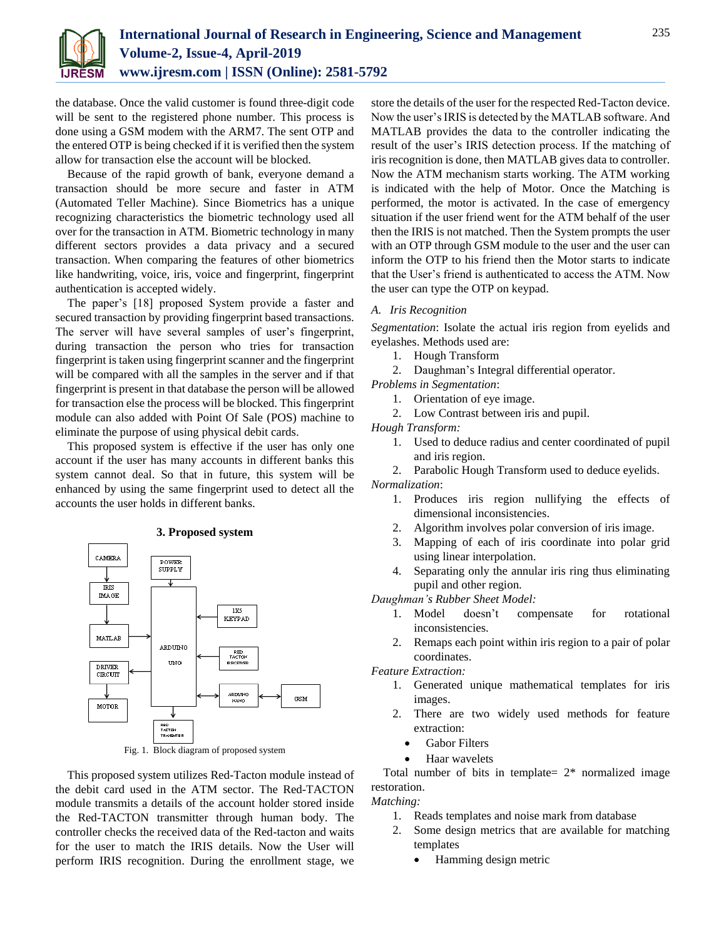

the database. Once the valid customer is found three-digit code will be sent to the registered phone number. This process is done using a GSM modem with the ARM7. The sent OTP and the entered OTP is being checked if it is verified then the system allow for transaction else the account will be blocked.

Because of the rapid growth of bank, everyone demand a transaction should be more secure and faster in ATM (Automated Teller Machine). Since Biometrics has a unique recognizing characteristics the biometric technology used all over for the transaction in ATM. Biometric technology in many different sectors provides a data privacy and a secured transaction. When comparing the features of other biometrics like handwriting, voice, iris, voice and fingerprint, fingerprint authentication is accepted widely.

The paper's [18] proposed System provide a faster and secured transaction by providing fingerprint based transactions. The server will have several samples of user's fingerprint, during transaction the person who tries for transaction fingerprint is taken using fingerprint scanner and the fingerprint will be compared with all the samples in the server and if that fingerprint is present in that database the person will be allowed for transaction else the process will be blocked. This fingerprint module can also added with Point Of Sale (POS) machine to eliminate the purpose of using physical debit cards.

This proposed system is effective if the user has only one account if the user has many accounts in different banks this system cannot deal. So that in future, this system will be enhanced by using the same fingerprint used to detect all the accounts the user holds in different banks.

### **3. Proposed system**



Fig. 1. Block diagram of proposed system

This proposed system utilizes Red-Tacton module instead of the debit card used in the ATM sector. The Red-TACTON module transmits a details of the account holder stored inside the Red-TACTON transmitter through human body. The controller checks the received data of the Red-tacton and waits for the user to match the IRIS details. Now the User will perform IRIS recognition. During the enrollment stage, we store the details of the user for the respected Red-Tacton device. Now the user's IRIS is detected by the MATLAB software. And MATLAB provides the data to the controller indicating the result of the user's IRIS detection process. If the matching of iris recognition is done, then MATLAB gives data to controller. Now the ATM mechanism starts working. The ATM working is indicated with the help of Motor. Once the Matching is performed, the motor is activated. In the case of emergency situation if the user friend went for the ATM behalf of the user then the IRIS is not matched. Then the System prompts the user with an OTP through GSM module to the user and the user can inform the OTP to his friend then the Motor starts to indicate that the User's friend is authenticated to access the ATM. Now the user can type the OTP on keypad.

### *A. Iris Recognition*

*Segmentation*: Isolate the actual iris region from eyelids and eyelashes. Methods used are:

- 1. Hough Transform
- 2. Daughman's Integral differential operator.
- *Problems in Segmentation*:
	- 1. Orientation of eye image.
	- 2. Low Contrast between iris and pupil.

*Hough Transform:*

- 1. Used to deduce radius and center coordinated of pupil and iris region.
- 2. Parabolic Hough Transform used to deduce eyelids.

*Normalization*:

- 1. Produces iris region nullifying the effects of dimensional inconsistencies.
- 2. Algorithm involves polar conversion of iris image.
- 3. Mapping of each of iris coordinate into polar grid using linear interpolation.
- 4. Separating only the annular iris ring thus eliminating pupil and other region.

*Daughman's Rubber Sheet Model:*

- 1. Model doesn't compensate for rotational inconsistencies.
- 2. Remaps each point within iris region to a pair of polar coordinates.

*Feature Extraction:*

- 1. Generated unique mathematical templates for iris images.
- 2. There are two widely used methods for feature extraction:
	- Gabor Filters
	- Haar wavelets

Total number of bits in template=  $2*$  normalized image restoration.

*Matching:*

- 1. Reads templates and noise mark from database
- 2. Some design metrics that are available for matching templates
	- Hamming design metric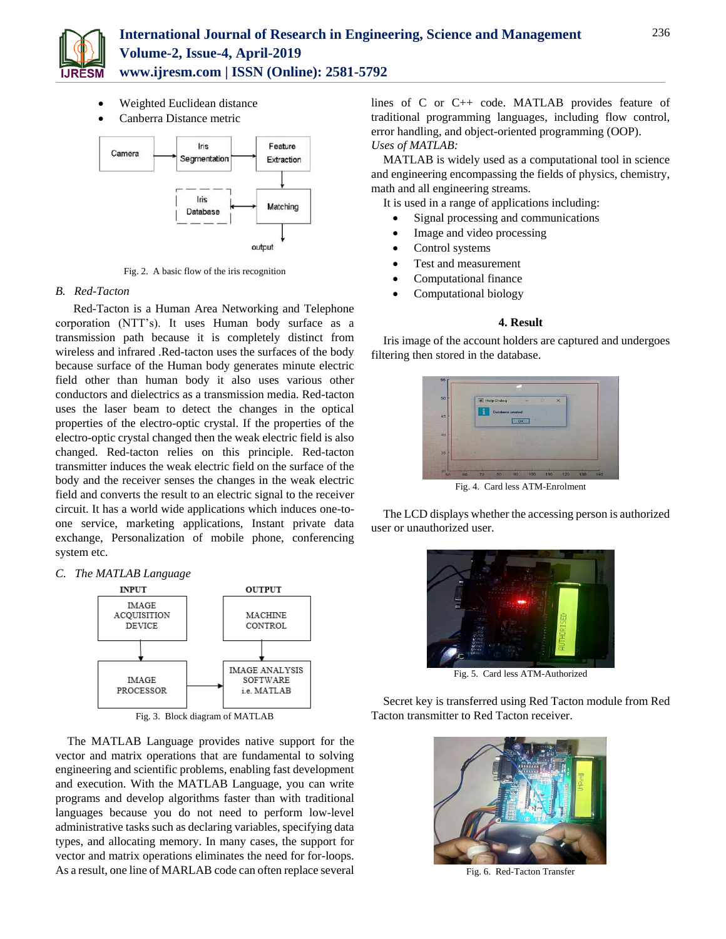

- Weighted Euclidean distance
- Canberra Distance metric



Fig. 2. A basic flow of the iris recognition

# *B. Red-Tacton*

 Red-Tacton is a Human Area Networking and Telephone corporation (NTT's). It uses Human body surface as a transmission path because it is completely distinct from wireless and infrared .Red-tacton uses the surfaces of the body because surface of the Human body generates minute electric field other than human body it also uses various other conductors and dielectrics as a transmission media. Red-tacton uses the laser beam to detect the changes in the optical properties of the electro-optic crystal. If the properties of the electro-optic crystal changed then the weak electric field is also changed. Red-tacton relies on this principle. Red-tacton transmitter induces the weak electric field on the surface of the body and the receiver senses the changes in the weak electric field and converts the result to an electric signal to the receiver circuit. It has a world wide applications which induces one-toone service, marketing applications, Instant private data exchange, Personalization of mobile phone, conferencing system etc.

### *C. The MATLAB Language*



Fig. 3. Block diagram of MATLAB

The MATLAB Language provides native support for the vector and matrix operations that are fundamental to solving engineering and scientific problems, enabling fast development and execution. With the MATLAB Language, you can write programs and develop algorithms faster than with traditional languages because you do not need to perform low-level administrative tasks such as declaring variables, specifying data types, and allocating memory. In many cases, the support for vector and matrix operations eliminates the need for for-loops. As a result, one line of MARLAB code can often replace several lines of C or C++ code. MATLAB provides feature of traditional programming languages, including flow control, error handling, and object-oriented programming (OOP). *Uses of MATLAB:*

MATLAB is widely used as a computational tool in science and engineering encompassing the fields of physics, chemistry, math and all engineering streams.

It is used in a range of applications including:

- Signal processing and communications
- Image and video processing
- Control systems
- Test and measurement
- Computational finance
- Computational biology

### **4. Result**

Iris image of the account holders are captured and undergoes filtering then stored in the database.



Fig. 4. Card less ATM-Enrolment

The LCD displays whether the accessing person is authorized user or unauthorized user.



Fig. 5. Card less ATM-Authorized

Secret key is transferred using Red Tacton module from Red Tacton transmitter to Red Tacton receiver.



Fig. 6. Red-Tacton Transfer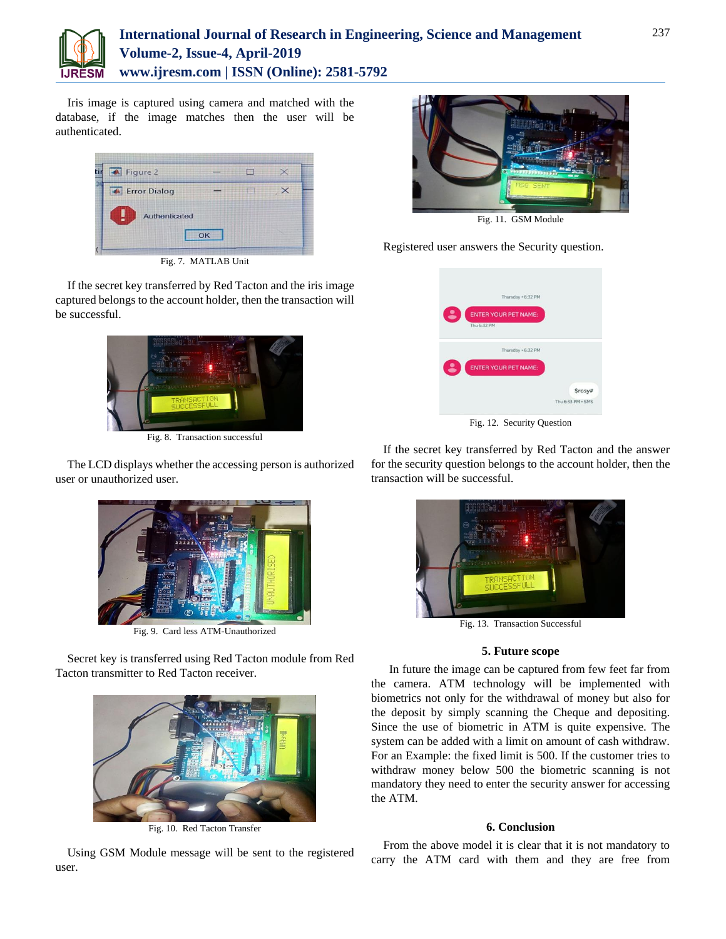

# **International Journal of Research in Engineering, Science and Management Volume-2, Issue-4, April-2019 www.ijresm.com | ISSN (Online): 2581-5792**

Iris image is captured using camera and matched with the database, if the image matches then the user will be authenticated.



Fig. 7. MATLAB Unit

If the secret key transferred by Red Tacton and the iris image captured belongs to the account holder, then the transaction will be successful.



Fig. 8. Transaction successful

The LCD displays whether the accessing person is authorized user or unauthorized user.



Fig. 9. Card less ATM-Unauthorized

Secret key is transferred using Red Tacton module from Red Tacton transmitter to Red Tacton receiver.



Fig. 10. Red Tacton Transfer



Fig. 11. GSM Module

Registered user answers the Security question.



Fig. 12. Security Question

If the secret key transferred by Red Tacton and the answer for the security question belongs to the account holder, then the transaction will be successful.



**5. Future scope**

 In future the image can be captured from few feet far from the camera. ATM technology will be implemented with biometrics not only for the withdrawal of money but also for the deposit by simply scanning the Cheque and depositing. Since the use of biometric in ATM is quite expensive. The system can be added with a limit on amount of cash withdraw. For an Example: the fixed limit is 500. If the customer tries to withdraw money below 500 the biometric scanning is not mandatory they need to enter the security answer for accessing the ATM.

# **6. Conclusion**

From the above model it is clear that it is not mandatory to carry the ATM card with them and they are free from

Using GSM Module message will be sent to the registered user.